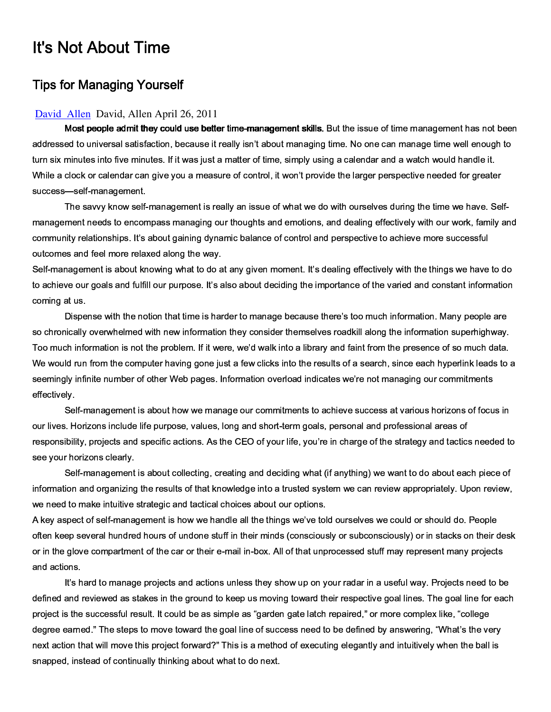## **It's Not About Time**

## **Tips for Managing Yourself**

## David Allen David, Allen April 26, 2011

Most people admit they could use better time-management skills. But the issue of time management has not been addressed to universal satisfaction, because it really isn't about managing time. No one can manage time well enough to turn six minutes into five minutes. If it was just a matter of time, simply using a calendar and a watch would handle it. While a clock or calendar can give you a measure of control, it won't provide the larger perspective needed for greater success-self-management.

The savvy know self-management is really an issue of what we do with ourselves during the time we have. Selfmanagement needs to encompass managing our thoughts and emotions, and dealing effectively with our work, family and community relationships. It's about gaining dynamic balance of control and perspective to achieve more successful outcomes and feel more relaxed along the way.

Self-management is about knowing what to do at any given moment. It's dealing effectively with the things we have to do to achieve our goals and fulfill our purpose. It's also about deciding the importance of the varied and constant information coming at us.

Dispense with the notion that time is harder to manage because there's too much information. Many people are so chronically overwhelmed with new information they consider themselves roadkill along the information superhighway. Too much information is not the problem. If it were, we'd walk into a library and faint from the presence of so much data. We would run from the computer having gone just a few clicks into the results of a search, since each hyperlink leads to a seemingly infinite number of other Web pages. Information overload indicates we're not managing our commitments effectively.

Self-management is about how we manage our commitments to achieve success at various horizons of focus in our lives. Horizons include life purpose, values, long and short-term goals, personal and professional areas of responsibility, projects and specific actions. As the CEO of your life, you're in charge of the strategy and tactics needed to see your horizons clearly.

Self-management is about collecting, creating and deciding what (if anything) we want to do about each piece of information and organizing the results of that knowledge into a trusted system we can review appropriately. Upon review, we need to make intuitive strategic and tactical choices about our options.

A key aspect of self-management is how we handle all the things we've told ourselves we could or should do. People often keep several hundred hours of undone stuff in their minds (consciously or subconsciously) or in stacks on their desk or in the glove compartment of the car or their e-mail in-box. All of that unprocessed stuff may represent many projects and actions.

It's hard to manage projects and actions unless they show up on your radar in a useful way. Projects need to be defined and reviewed as stakes in the ground to keep us moving toward their respective goal lines. The goal line for each project is the successful result. It could be as simple as "garden gate latch repaired," or more complex like, "college degree earned." The steps to move toward the goal line of success need to be defined by answering, "What's the very next action that will move this project forward?" This is a method of executing elegantly and intuitively when the ball is snapped, instead of continually thinking about what to do next.